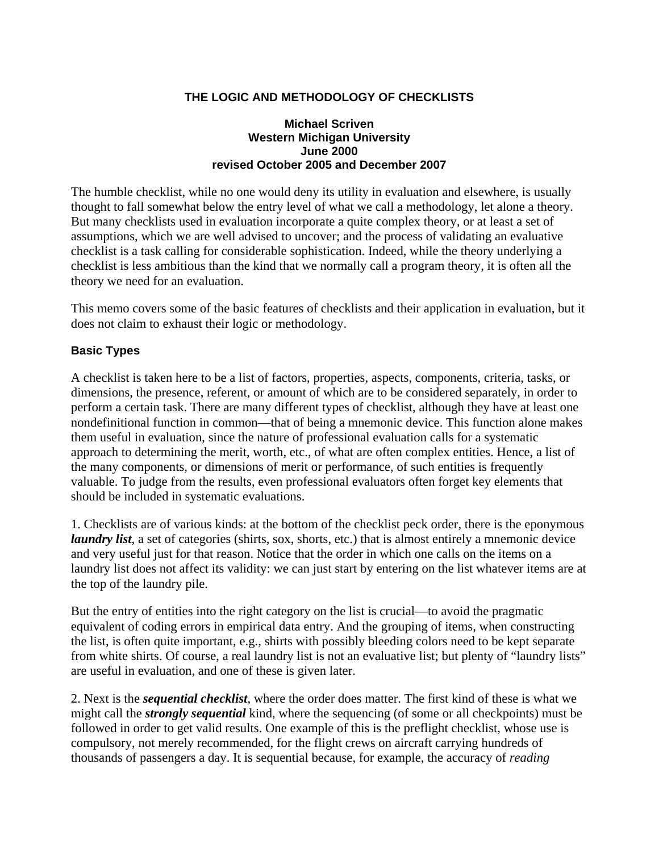### **THE LOGIC AND METHODOLOGY OF CHECKLISTS**

#### **Michael Scriven Western Michigan University June 2000 revised October 2005 and December 2007**

The humble checklist, while no one would deny its utility in evaluation and elsewhere, is usually thought to fall somewhat below the entry level of what we call a methodology, let alone a theory. But many checklists used in evaluation incorporate a quite complex theory, or at least a set of assumptions, which we are well advised to uncover; and the process of validating an evaluative checklist is a task calling for considerable sophistication. Indeed, while the theory underlying a checklist is less ambitious than the kind that we normally call a program theory, it is often all the theory we need for an evaluation.

This memo covers some of the basic features of checklists and their application in evaluation, but it does not claim to exhaust their logic or methodology.

### **Basic Types**

A checklist is taken here to be a list of factors, properties, aspects, components, criteria, tasks, or dimensions, the presence, referent, or amount of which are to be considered separately, in order to perform a certain task. There are many different types of checklist, although they have at least one nondefinitional function in common—that of being a mnemonic device. This function alone makes them useful in evaluation, since the nature of professional evaluation calls for a systematic approach to determining the merit, worth, etc., of what are often complex entities. Hence, a list of the many components, or dimensions of merit or performance, of such entities is frequently valuable. To judge from the results, even professional evaluators often forget key elements that should be included in systematic evaluations.

1. Checklists are of various kinds: at the bottom of the checklist peck order, there is the eponymous *laundry list*, a set of categories (shirts, sox, shorts, etc.) that is almost entirely a mnemonic device and very useful just for that reason. Notice that the order in which one calls on the items on a laundry list does not affect its validity: we can just start by entering on the list whatever items are at the top of the laundry pile.

But the entry of entities into the right category on the list is crucial—to avoid the pragmatic equivalent of coding errors in empirical data entry. And the grouping of items, when constructing the list, is often quite important, e.g., shirts with possibly bleeding colors need to be kept separate from white shirts. Of course, a real laundry list is not an evaluative list; but plenty of "laundry lists" are useful in evaluation, and one of these is given later.

2. Next is the *sequential checklist*, where the order does matter. The first kind of these is what we might call the *strongly sequential* kind, where the sequencing (of some or all checkpoints) must be followed in order to get valid results. One example of this is the preflight checklist, whose use is compulsory, not merely recommended, for the flight crews on aircraft carrying hundreds of thousands of passengers a day. It is sequential because, for example, the accuracy of *reading*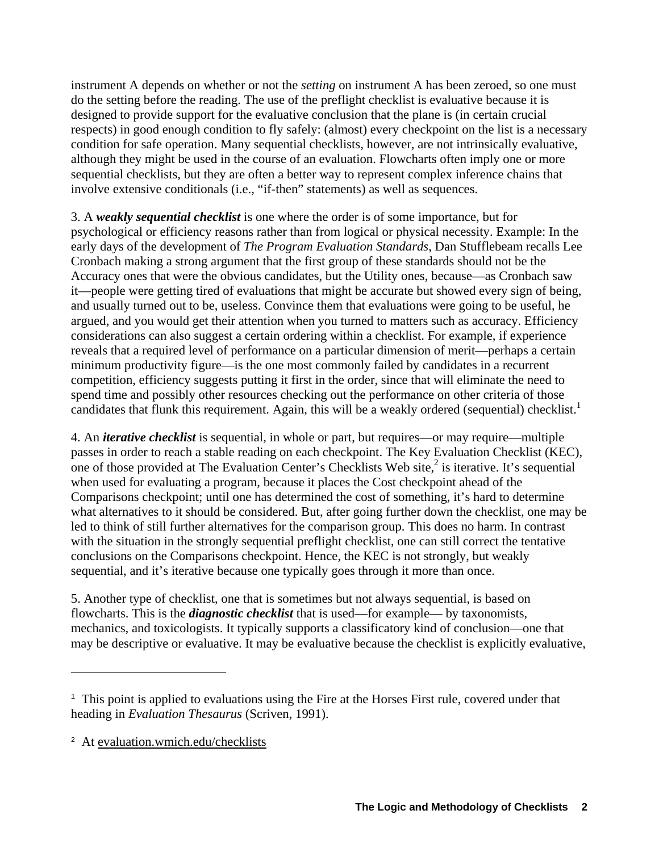instrument A depends on whether or not the *setting* on instrument A has been zeroed, so one must do the setting before the reading. The use of the preflight checklist is evaluative because it is designed to provide support for the evaluative conclusion that the plane is (in certain crucial respects) in good enough condition to fly safely: (almost) every checkpoint on the list is a necessary condition for safe operation. Many sequential checklists, however, are not intrinsically evaluative, although they might be used in the course of an evaluation. Flowcharts often imply one or more sequential checklists, but they are often a better way to represent complex inference chains that involve extensive conditionals (i.e., "if-then" statements) as well as sequences.

3. A *weakly sequential checklist* is one where the order is of some importance, but for psychological or efficiency reasons rather than from logical or physical necessity. Example: In the early days of the development of *The Program Evaluation Standards*, Dan Stufflebeam recalls Lee Cronbach making a strong argument that the first group of these standards should not be the Accuracy ones that were the obvious candidates, but the Utility ones, because—as Cronbach saw it—people were getting tired of evaluations that might be accurate but showed every sign of being, and usually turned out to be, useless. Convince them that evaluations were going to be useful, he argued, and you would get their attention when you turned to matters such as accuracy. Efficiency considerations can also suggest a certain ordering within a checklist. For example, if experience reveals that a required level of performance on a particular dimension of merit—perhaps a certain minimum productivity figure—is the one most commonly failed by candidates in a recurrent competition, efficiency suggests putting it first in the order, since that will eliminate the need to spend time and possibly other resources checking out the performance on other criteria of those candidates that flunk this requirement. Again, this will be a weakly ordered (sequential) checklist.<sup>1</sup>

4. An *iterative checklist* is sequential, in whole or part, but requires—or may require—multiple passes in order to reach a stable reading on each checkpoint. The Key Evaluation Checklist (KEC), one of those provided at The Evaluation Center's Checklists Web site, $\frac{2}{3}$  is iterative. It's sequential when used for evaluating a program, because it places the Cost checkpoint ahead of the Comparisons checkpoint; until one has determined the cost of something, it's hard to determine what alternatives to it should be considered. But, after going further down the checklist, one may be led to think of still further alternatives for the comparison group. This does no harm. In contrast with the situation in the strongly sequential preflight checklist, one can still correct the tentative conclusions on the Comparisons checkpoint. Hence, the KEC is not strongly, but weakly sequential, and it's iterative because one typically goes through it more than once.

5. Another type of checklist, one that is sometimes but not always sequential, is based on flowcharts. This is the *diagnostic checklist* that is used—for example— by taxonomists, mechanics, and toxicologists. It typically supports a classificatory kind of conclusion—one that may be descriptive or evaluative. It may be evaluative because the checklist is explicitly evaluative,

1

 $1$ . This point is applied to evaluations using the Fire at the Horses First rule, covered under that heading in *Evaluation Thesaurus* (Scriven, 1991).

<sup>2</sup> At evaluation.wmich.edu/checklists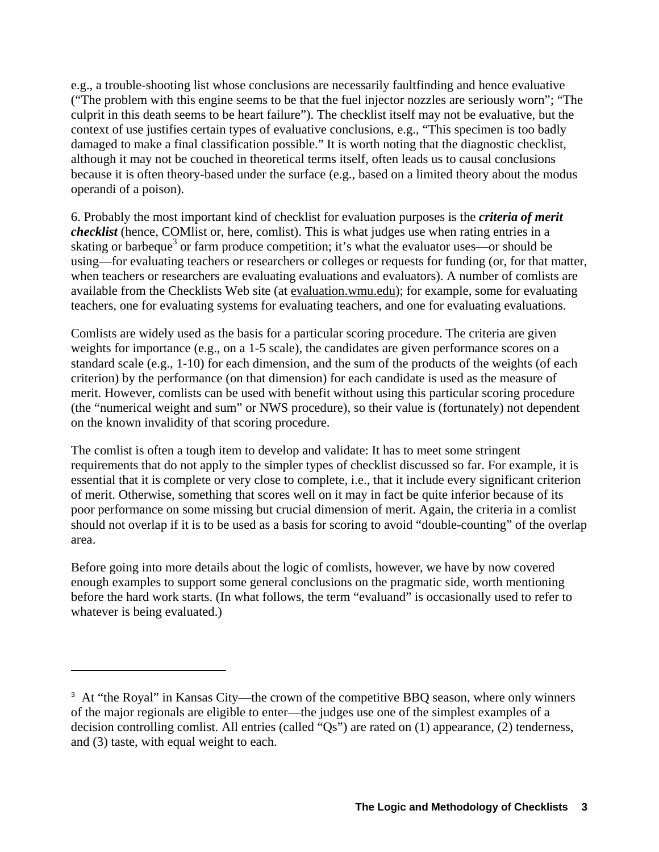e.g., a trouble-shooting list whose conclusions are necessarily faultfinding and hence evaluative ("The problem with this engine seems to be that the fuel injector nozzles are seriously worn"; "The culprit in this death seems to be heart failure"). The checklist itself may not be evaluative, but the context of use justifies certain types of evaluative conclusions, e.g., "This specimen is too badly damaged to make a final classification possible." It is worth noting that the diagnostic checklist, although it may not be couched in theoretical terms itself, often leads us to causal conclusions because it is often theory-based under the surface (e.g., based on a limited theory about the modus operandi of a poison).

6. Probably the most important kind of checklist for evaluation purposes is the *criteria of merit checklist* (hence, COMlist or, here, comlist). This is what judges use when rating entries in a skating or barbeque<sup>3</sup> or farm produce competition; it's what the evaluator uses—or should be using—for evaluating teachers or researchers or colleges or requests for funding (or, for that matter, when teachers or researchers are evaluating evaluations and evaluators). A number of comlists are available from the Checklists Web site (at evaluation.wmu.edu); for example, some for evaluating teachers, one for evaluating systems for evaluating teachers, and one for evaluating evaluations.

Comlists are widely used as the basis for a particular scoring procedure. The criteria are given weights for importance (e.g., on a 1-5 scale), the candidates are given performance scores on a standard scale (e.g., 1-10) for each dimension, and the sum of the products of the weights (of each criterion) by the performance (on that dimension) for each candidate is used as the measure of merit. However, comlists can be used with benefit without using this particular scoring procedure (the "numerical weight and sum" or NWS procedure), so their value is (fortunately) not dependent on the known invalidity of that scoring procedure.

The comlist is often a tough item to develop and validate: It has to meet some stringent requirements that do not apply to the simpler types of checklist discussed so far. For example, it is essential that it is complete or very close to complete, i.e., that it include every significant criterion of merit. Otherwise, something that scores well on it may in fact be quite inferior because of its poor performance on some missing but crucial dimension of merit. Again, the criteria in a comlist should not overlap if it is to be used as a basis for scoring to avoid "double-counting" of the overlap area.

Before going into more details about the logic of comlists, however, we have by now covered enough examples to support some general conclusions on the pragmatic side, worth mentioning before the hard work starts. (In what follows, the term "evaluand" is occasionally used to refer to whatever is being evaluated.)

<u>.</u>

<sup>&</sup>lt;sup>3</sup> At "the Royal" in Kansas City—the crown of the competitive BBQ season, where only winners of the major regionals are eligible to enter—the judges use one of the simplest examples of a decision controlling comlist. All entries (called "Qs") are rated on (1) appearance, (2) tenderness, and (3) taste, with equal weight to each.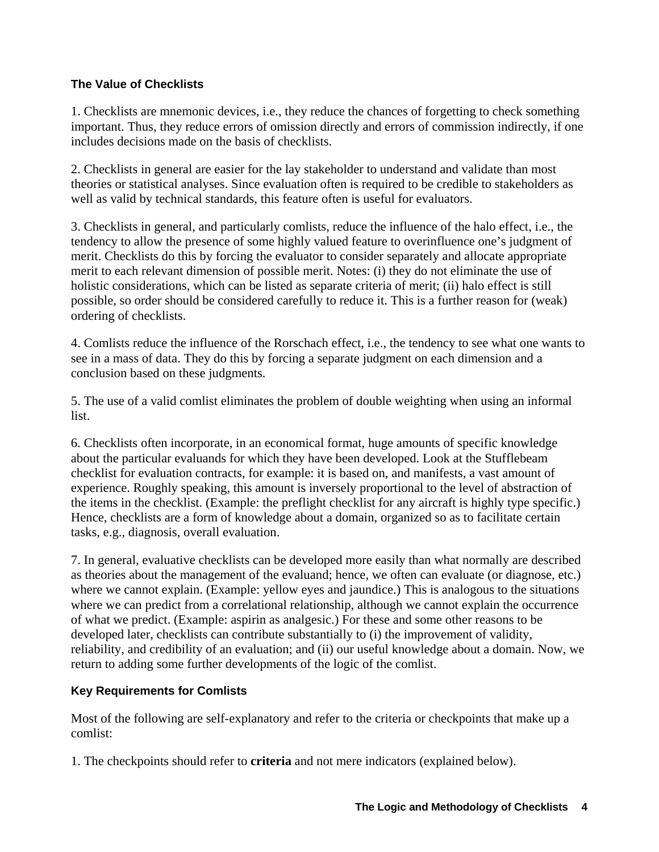### **The Value of Checklists**

1. Checklists are mnemonic devices, i.e., they reduce the chances of forgetting to check something important. Thus, they reduce errors of omission directly and errors of commission indirectly, if one includes decisions made on the basis of checklists.

2. Checklists in general are easier for the lay stakeholder to understand and validate than most theories or statistical analyses. Since evaluation often is required to be credible to stakeholders as well as valid by technical standards, this feature often is useful for evaluators.

3. Checklists in general, and particularly comlists, reduce the influence of the halo effect, i.e., the tendency to allow the presence of some highly valued feature to overinfluence one's judgment of merit. Checklists do this by forcing the evaluator to consider separately and allocate appropriate merit to each relevant dimension of possible merit. Notes: (i) they do not eliminate the use of holistic considerations, which can be listed as separate criteria of merit; (ii) halo effect is still possible, so order should be considered carefully to reduce it. This is a further reason for (weak) ordering of checklists.

4. Comlists reduce the influence of the Rorschach effect, i.e., the tendency to see what one wants to see in a mass of data. They do this by forcing a separate judgment on each dimension and a conclusion based on these judgments.

5. The use of a valid comlist eliminates the problem of double weighting when using an informal list.

6. Checklists often incorporate, in an economical format, huge amounts of specific knowledge about the particular evaluands for which they have been developed. Look at the Stufflebeam checklist for evaluation contracts, for example: it is based on, and manifests, a vast amount of experience. Roughly speaking, this amount is inversely proportional to the level of abstraction of the items in the checklist. (Example: the preflight checklist for any aircraft is highly type specific.) Hence, checklists are a form of knowledge about a domain, organized so as to facilitate certain tasks, e.g., diagnosis, overall evaluation.

7. In general, evaluative checklists can be developed more easily than what normally are described as theories about the management of the evaluand; hence, we often can evaluate (or diagnose, etc.) where we cannot explain. (Example: yellow eyes and jaundice.) This is analogous to the situations where we can predict from a correlational relationship, although we cannot explain the occurrence of what we predict. (Example: aspirin as analgesic.) For these and some other reasons to be developed later, checklists can contribute substantially to (i) the improvement of validity, reliability, and credibility of an evaluation; and (ii) our useful knowledge about a domain. Now, we return to adding some further developments of the logic of the comlist.

# **Key Requirements for Comlists**

Most of the following are self-explanatory and refer to the criteria or checkpoints that make up a comlist:

1. The checkpoints should refer to **criteria** and not mere indicators (explained below).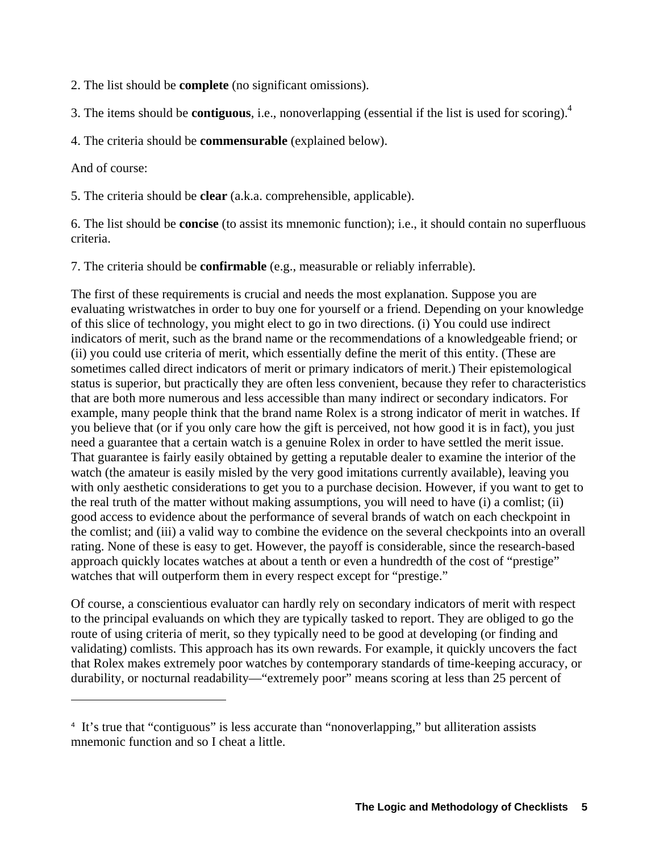2. The list should be **complete** (no significant omissions).

3. The items should be **contiguous**, i.e., nonoverlapping (essential if the list is used for scoring).4

4. The criteria should be **commensurable** (explained below).

And of course:

1

5. The criteria should be **clear** (a.k.a. comprehensible, applicable).

6. The list should be **concise** (to assist its mnemonic function); i.e., it should contain no superfluous criteria.

7. The criteria should be **confirmable** (e.g., measurable or reliably inferrable).

The first of these requirements is crucial and needs the most explanation. Suppose you are evaluating wristwatches in order to buy one for yourself or a friend. Depending on your knowledge of this slice of technology, you might elect to go in two directions. (i) You could use indirect indicators of merit, such as the brand name or the recommendations of a knowledgeable friend; or (ii) you could use criteria of merit, which essentially define the merit of this entity. (These are sometimes called direct indicators of merit or primary indicators of merit.) Their epistemological status is superior, but practically they are often less convenient, because they refer to characteristics that are both more numerous and less accessible than many indirect or secondary indicators. For example, many people think that the brand name Rolex is a strong indicator of merit in watches. If you believe that (or if you only care how the gift is perceived, not how good it is in fact), you just need a guarantee that a certain watch is a genuine Rolex in order to have settled the merit issue. That guarantee is fairly easily obtained by getting a reputable dealer to examine the interior of the watch (the amateur is easily misled by the very good imitations currently available), leaving you with only aesthetic considerations to get you to a purchase decision. However, if you want to get to the real truth of the matter without making assumptions, you will need to have (i) a comlist; (ii) good access to evidence about the performance of several brands of watch on each checkpoint in the comlist; and (iii) a valid way to combine the evidence on the several checkpoints into an overall rating. None of these is easy to get. However, the payoff is considerable, since the research-based approach quickly locates watches at about a tenth or even a hundredth of the cost of "prestige" watches that will outperform them in every respect except for "prestige."

Of course, a conscientious evaluator can hardly rely on secondary indicators of merit with respect to the principal evaluands on which they are typically tasked to report. They are obliged to go the route of using criteria of merit, so they typically need to be good at developing (or finding and validating) comlists. This approach has its own rewards. For example, it quickly uncovers the fact that Rolex makes extremely poor watches by contemporary standards of time-keeping accuracy, or durability, or nocturnal readability—"extremely poor" means scoring at less than 25 percent of

<sup>&</sup>lt;sup>4</sup> It's true that "contiguous" is less accurate than "nonoverlapping," but alliteration assists mnemonic function and so I cheat a little.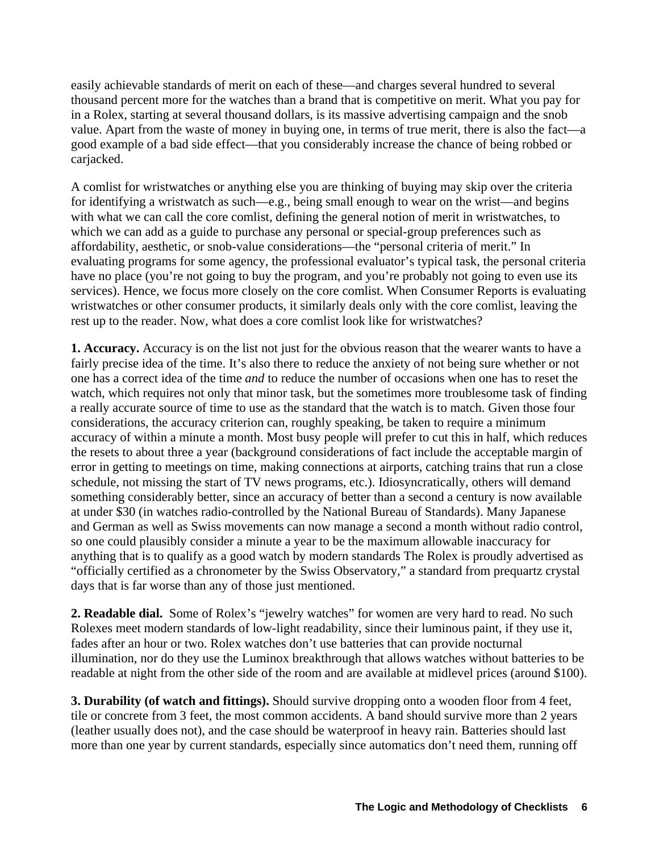easily achievable standards of merit on each of these—and charges several hundred to several thousand percent more for the watches than a brand that is competitive on merit. What you pay for in a Rolex, starting at several thousand dollars, is its massive advertising campaign and the snob value. Apart from the waste of money in buying one, in terms of true merit, there is also the fact—a good example of a bad side effect—that you considerably increase the chance of being robbed or carjacked.

A comlist for wristwatches or anything else you are thinking of buying may skip over the criteria for identifying a wristwatch as such—e.g., being small enough to wear on the wrist—and begins with what we can call the core comlist, defining the general notion of merit in wristwatches, to which we can add as a guide to purchase any personal or special-group preferences such as affordability, aesthetic, or snob-value considerations—the "personal criteria of merit." In evaluating programs for some agency, the professional evaluator's typical task, the personal criteria have no place (you're not going to buy the program, and you're probably not going to even use its services). Hence, we focus more closely on the core comlist. When Consumer Reports is evaluating wristwatches or other consumer products, it similarly deals only with the core comlist, leaving the rest up to the reader. Now, what does a core comlist look like for wristwatches?

**1. Accuracy.** Accuracy is on the list not just for the obvious reason that the wearer wants to have a fairly precise idea of the time. It's also there to reduce the anxiety of not being sure whether or not one has a correct idea of the time *and* to reduce the number of occasions when one has to reset the watch, which requires not only that minor task, but the sometimes more troublesome task of finding a really accurate source of time to use as the standard that the watch is to match. Given those four considerations, the accuracy criterion can, roughly speaking, be taken to require a minimum accuracy of within a minute a month. Most busy people will prefer to cut this in half, which reduces the resets to about three a year (background considerations of fact include the acceptable margin of error in getting to meetings on time, making connections at airports, catching trains that run a close schedule, not missing the start of TV news programs, etc.). Idiosyncratically, others will demand something considerably better, since an accuracy of better than a second a century is now available at under \$30 (in watches radio-controlled by the National Bureau of Standards). Many Japanese and German as well as Swiss movements can now manage a second a month without radio control, so one could plausibly consider a minute a year to be the maximum allowable inaccuracy for anything that is to qualify as a good watch by modern standards The Rolex is proudly advertised as "officially certified as a chronometer by the Swiss Observatory," a standard from prequartz crystal days that is far worse than any of those just mentioned.

**2. Readable dial.** Some of Rolex's "jewelry watches" for women are very hard to read. No such Rolexes meet modern standards of low-light readability, since their luminous paint, if they use it, fades after an hour or two. Rolex watches don't use batteries that can provide nocturnal illumination, nor do they use the Luminox breakthrough that allows watches without batteries to be readable at night from the other side of the room and are available at midlevel prices (around \$100).

**3. Durability (of watch and fittings).** Should survive dropping onto a wooden floor from 4 feet, tile or concrete from 3 feet, the most common accidents. A band should survive more than 2 years (leather usually does not), and the case should be waterproof in heavy rain. Batteries should last more than one year by current standards, especially since automatics don't need them, running off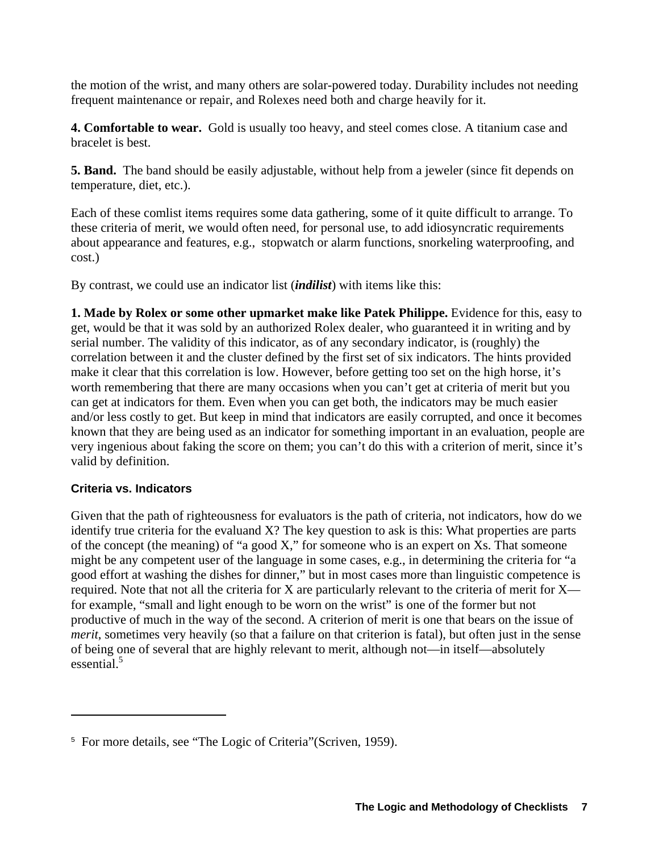the motion of the wrist, and many others are solar-powered today. Durability includes not needing frequent maintenance or repair, and Rolexes need both and charge heavily for it.

**4. Comfortable to wear.** Gold is usually too heavy, and steel comes close. A titanium case and bracelet is best.

**5. Band.** The band should be easily adjustable, without help from a jeweler (since fit depends on temperature, diet, etc.).

Each of these comlist items requires some data gathering, some of it quite difficult to arrange. To these criteria of merit, we would often need, for personal use, to add idiosyncratic requirements about appearance and features, e.g., stopwatch or alarm functions, snorkeling waterproofing, and cost.)

By contrast, we could use an indicator list (*indilist*) with items like this:

**1. Made by Rolex or some other upmarket make like Patek Philippe.** Evidence for this, easy to get, would be that it was sold by an authorized Rolex dealer, who guaranteed it in writing and by serial number. The validity of this indicator, as of any secondary indicator, is (roughly) the correlation between it and the cluster defined by the first set of six indicators. The hints provided make it clear that this correlation is low. However, before getting too set on the high horse, it's worth remembering that there are many occasions when you can't get at criteria of merit but you can get at indicators for them. Even when you can get both, the indicators may be much easier and/or less costly to get. But keep in mind that indicators are easily corrupted, and once it becomes known that they are being used as an indicator for something important in an evaluation, people are very ingenious about faking the score on them; you can't do this with a criterion of merit, since it's valid by definition.

# **Criteria vs. Indicators**

1

Given that the path of righteousness for evaluators is the path of criteria, not indicators, how do we identify true criteria for the evaluand X? The key question to ask is this: What properties are parts of the concept (the meaning) of "a good X," for someone who is an expert on Xs. That someone might be any competent user of the language in some cases, e.g., in determining the criteria for "a good effort at washing the dishes for dinner," but in most cases more than linguistic competence is required. Note that not all the criteria for X are particularly relevant to the criteria of merit for X for example, "small and light enough to be worn on the wrist" is one of the former but not productive of much in the way of the second. A criterion of merit is one that bears on the issue of *merit*, sometimes very heavily (so that a failure on that criterion is fatal), but often just in the sense of being one of several that are highly relevant to merit, although not—in itself—absolutely essential.<sup>5</sup>

<sup>&</sup>lt;sup>5</sup> For more details, see "The Logic of Criteria" (Scriven, 1959).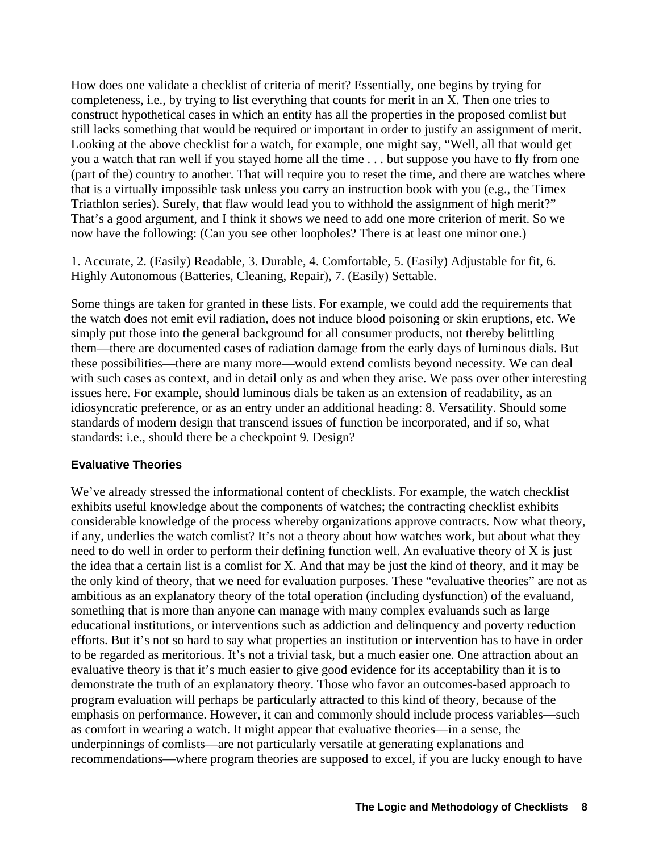How does one validate a checklist of criteria of merit? Essentially, one begins by trying for completeness, i.e., by trying to list everything that counts for merit in an X. Then one tries to construct hypothetical cases in which an entity has all the properties in the proposed comlist but still lacks something that would be required or important in order to justify an assignment of merit. Looking at the above checklist for a watch, for example, one might say, "Well, all that would get you a watch that ran well if you stayed home all the time . . . but suppose you have to fly from one (part of the) country to another. That will require you to reset the time, and there are watches where that is a virtually impossible task unless you carry an instruction book with you (e.g., the Timex Triathlon series). Surely, that flaw would lead you to withhold the assignment of high merit?" That's a good argument, and I think it shows we need to add one more criterion of merit. So we now have the following: (Can you see other loopholes? There is at least one minor one.)

1. Accurate, 2. (Easily) Readable, 3. Durable, 4. Comfortable, 5. (Easily) Adjustable for fit, 6. Highly Autonomous (Batteries, Cleaning, Repair), 7. (Easily) Settable.

Some things are taken for granted in these lists. For example, we could add the requirements that the watch does not emit evil radiation, does not induce blood poisoning or skin eruptions, etc. We simply put those into the general background for all consumer products, not thereby belittling them—there are documented cases of radiation damage from the early days of luminous dials. But these possibilities—there are many more—would extend comlists beyond necessity. We can deal with such cases as context, and in detail only as and when they arise. We pass over other interesting issues here. For example, should luminous dials be taken as an extension of readability, as an idiosyncratic preference, or as an entry under an additional heading: 8. Versatility. Should some standards of modern design that transcend issues of function be incorporated, and if so, what standards: i.e., should there be a checkpoint 9. Design?

### **Evaluative Theories**

We've already stressed the informational content of checklists. For example, the watch checklist exhibits useful knowledge about the components of watches; the contracting checklist exhibits considerable knowledge of the process whereby organizations approve contracts. Now what theory, if any, underlies the watch comlist? It's not a theory about how watches work, but about what they need to do well in order to perform their defining function well. An evaluative theory of X is just the idea that a certain list is a comlist for X. And that may be just the kind of theory, and it may be the only kind of theory, that we need for evaluation purposes. These "evaluative theories" are not as ambitious as an explanatory theory of the total operation (including dysfunction) of the evaluand, something that is more than anyone can manage with many complex evaluands such as large educational institutions, or interventions such as addiction and delinquency and poverty reduction efforts. But it's not so hard to say what properties an institution or intervention has to have in order to be regarded as meritorious. It's not a trivial task, but a much easier one. One attraction about an evaluative theory is that it's much easier to give good evidence for its acceptability than it is to demonstrate the truth of an explanatory theory. Those who favor an outcomes-based approach to program evaluation will perhaps be particularly attracted to this kind of theory, because of the emphasis on performance. However, it can and commonly should include process variables—such as comfort in wearing a watch. It might appear that evaluative theories—in a sense, the underpinnings of comlists—are not particularly versatile at generating explanations and recommendations—where program theories are supposed to excel, if you are lucky enough to have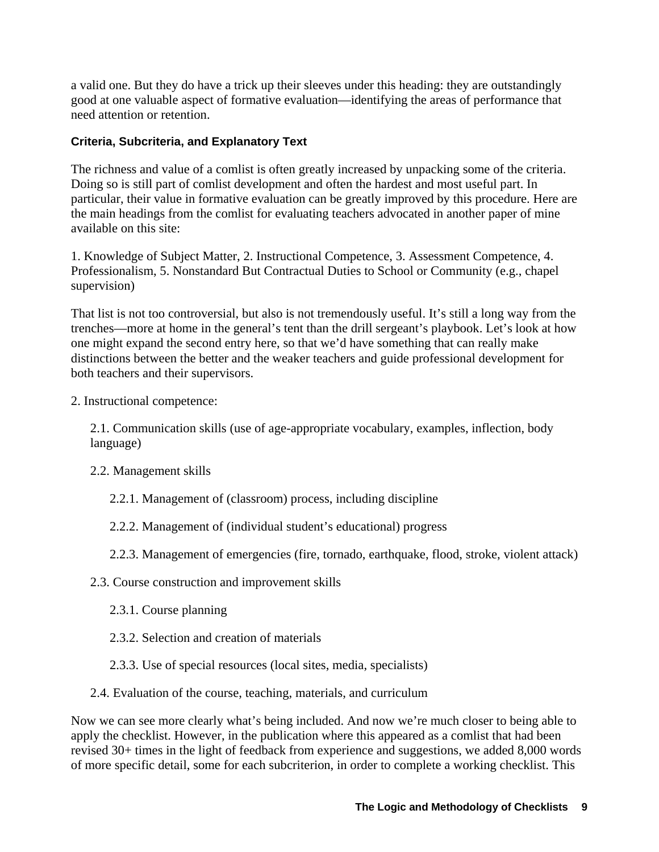a valid one. But they do have a trick up their sleeves under this heading: they are outstandingly good at one valuable aspect of formative evaluation—identifying the areas of performance that need attention or retention.

### **Criteria, Subcriteria, and Explanatory Text**

The richness and value of a comlist is often greatly increased by unpacking some of the criteria. Doing so is still part of comlist development and often the hardest and most useful part. In particular, their value in formative evaluation can be greatly improved by this procedure. Here are the main headings from the comlist for evaluating teachers advocated in another paper of mine available on this site:

1. Knowledge of Subject Matter, 2. Instructional Competence, 3. Assessment Competence, 4. Professionalism, 5. Nonstandard But Contractual Duties to School or Community (e.g., chapel supervision)

That list is not too controversial, but also is not tremendously useful. It's still a long way from the trenches—more at home in the general's tent than the drill sergeant's playbook. Let's look at how one might expand the second entry here, so that we'd have something that can really make distinctions between the better and the weaker teachers and guide professional development for both teachers and their supervisors.

2. Instructional competence:

2.1. Communication skills (use of age-appropriate vocabulary, examples, inflection, body language)

- 2.2. Management skills
	- 2.2.1. Management of (classroom) process, including discipline
	- 2.2.2. Management of (individual student's educational) progress
	- 2.2.3. Management of emergencies (fire, tornado, earthquake, flood, stroke, violent attack)
- 2.3. Course construction and improvement skills
	- 2.3.1. Course planning
	- 2.3.2. Selection and creation of materials
	- 2.3.3. Use of special resources (local sites, media, specialists)
- 2.4. Evaluation of the course, teaching, materials, and curriculum

Now we can see more clearly what's being included. And now we're much closer to being able to apply the checklist. However, in the publication where this appeared as a comlist that had been revised 30+ times in the light of feedback from experience and suggestions, we added 8,000 words of more specific detail, some for each subcriterion, in order to complete a working checklist. This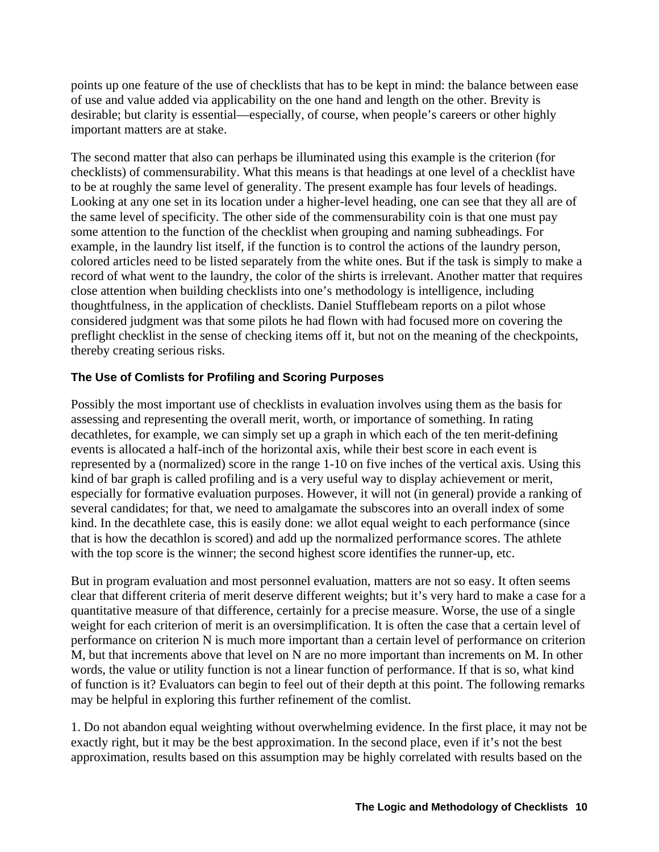points up one feature of the use of checklists that has to be kept in mind: the balance between ease of use and value added via applicability on the one hand and length on the other. Brevity is desirable; but clarity is essential—especially, of course, when people's careers or other highly important matters are at stake.

The second matter that also can perhaps be illuminated using this example is the criterion (for checklists) of commensurability. What this means is that headings at one level of a checklist have to be at roughly the same level of generality. The present example has four levels of headings. Looking at any one set in its location under a higher-level heading, one can see that they all are of the same level of specificity. The other side of the commensurability coin is that one must pay some attention to the function of the checklist when grouping and naming subheadings. For example, in the laundry list itself, if the function is to control the actions of the laundry person, colored articles need to be listed separately from the white ones. But if the task is simply to make a record of what went to the laundry, the color of the shirts is irrelevant. Another matter that requires close attention when building checklists into one's methodology is intelligence, including thoughtfulness, in the application of checklists. Daniel Stufflebeam reports on a pilot whose considered judgment was that some pilots he had flown with had focused more on covering the preflight checklist in the sense of checking items off it, but not on the meaning of the checkpoints, thereby creating serious risks.

# **The Use of Comlists for Profiling and Scoring Purposes**

Possibly the most important use of checklists in evaluation involves using them as the basis for assessing and representing the overall merit, worth, or importance of something. In rating decathletes, for example, we can simply set up a graph in which each of the ten merit-defining events is allocated a half-inch of the horizontal axis, while their best score in each event is represented by a (normalized) score in the range 1-10 on five inches of the vertical axis. Using this kind of bar graph is called profiling and is a very useful way to display achievement or merit, especially for formative evaluation purposes. However, it will not (in general) provide a ranking of several candidates; for that, we need to amalgamate the subscores into an overall index of some kind. In the decathlete case, this is easily done: we allot equal weight to each performance (since that is how the decathlon is scored) and add up the normalized performance scores. The athlete with the top score is the winner; the second highest score identifies the runner-up, etc.

But in program evaluation and most personnel evaluation, matters are not so easy. It often seems clear that different criteria of merit deserve different weights; but it's very hard to make a case for a quantitative measure of that difference, certainly for a precise measure. Worse, the use of a single weight for each criterion of merit is an oversimplification. It is often the case that a certain level of performance on criterion N is much more important than a certain level of performance on criterion M, but that increments above that level on N are no more important than increments on M. In other words, the value or utility function is not a linear function of performance. If that is so, what kind of function is it? Evaluators can begin to feel out of their depth at this point. The following remarks may be helpful in exploring this further refinement of the comlist.

1. Do not abandon equal weighting without overwhelming evidence. In the first place, it may not be exactly right, but it may be the best approximation. In the second place, even if it's not the best approximation, results based on this assumption may be highly correlated with results based on the